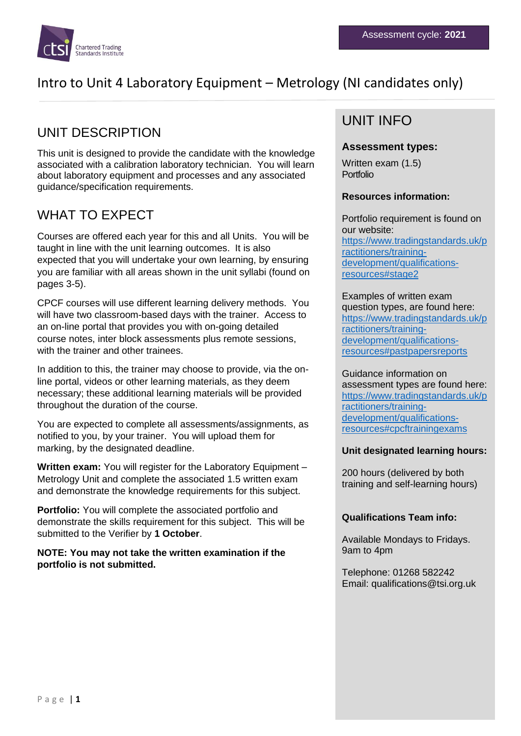

## UNIT DESCRIPTION

This unit is designed to provide the candidate with the knowledge associated with a calibration laboratory technician. You will learn about laboratory equipment and processes and any associated guidance/specification requirements.

## WHAT TO EXPECT

Courses are offered each year for this and all Units. You will be taught in line with the unit learning outcomes. It is also expected that you will undertake your own learning, by ensuring you are familiar with all areas shown in the unit syllabi (found on pages 3-5).

CPCF courses will use different learning delivery methods. You will have two classroom-based days with the trainer. Access to an on-line portal that provides you with on-going detailed course notes, inter block assessments plus remote sessions, with the trainer and other trainees.

In addition to this, the trainer may choose to provide, via the online portal, videos or other learning materials, as they deem necessary; these additional learning materials will be provided throughout the duration of the course.

You are expected to complete all assessments/assignments, as notified to you, by your trainer. You will upload them for marking, by the designated deadline.

**Written exam:** You will register for the Laboratory Equipment – Metrology Unit and complete the associated 1.5 written exam and demonstrate the knowledge requirements for this subject.

**Portfolio:** You will complete the associated portfolio and demonstrate the skills requirement for this subject. This will be submitted to the Verifier by **1 October**.

**NOTE: You may not take the written examination if the portfolio is not submitted.**

## UNIT INFO

### **Assessment types:**

Written exam (1.5) Portfolio

### **Resources information:**

Portfolio requirement is found on our website: [https://www.tradingstandards.uk/p](https://www.tradingstandards.uk/practitioners/training-development/qualifications-resources#stage2) [ractitioners/training](https://www.tradingstandards.uk/practitioners/training-development/qualifications-resources#stage2)[development/qualifications](https://www.tradingstandards.uk/practitioners/training-development/qualifications-resources#stage2)[resources#stage2](https://www.tradingstandards.uk/practitioners/training-development/qualifications-resources#stage2)

Examples of written exam question types, are found here: [https://www.tradingstandards.uk/p](https://www.tradingstandards.uk/practitioners/training-development/qualifications-resources#pastpapersreports) [ractitioners/training](https://www.tradingstandards.uk/practitioners/training-development/qualifications-resources#pastpapersreports)[development/qualifications](https://www.tradingstandards.uk/practitioners/training-development/qualifications-resources#pastpapersreports)[resources#pastpapersreports](https://www.tradingstandards.uk/practitioners/training-development/qualifications-resources#pastpapersreports)

Guidance information on assessment types are found here: [https://www.tradingstandards.uk/p](https://www.tradingstandards.uk/practitioners/training-development/qualifications-resources#cpcftrainingexams) [ractitioners/training](https://www.tradingstandards.uk/practitioners/training-development/qualifications-resources#cpcftrainingexams)[development/qualifications](https://www.tradingstandards.uk/practitioners/training-development/qualifications-resources#cpcftrainingexams)[resources#cpcftrainingexams](https://www.tradingstandards.uk/practitioners/training-development/qualifications-resources#cpcftrainingexams)

### **Unit designated learning hours:**

200 hours (delivered by both training and self-learning hours)

### **Qualifications Team info:**

Available Mondays to Fridays. 9am to 4pm

Telephone: 01268 582242 Email: qualifications@tsi.org.uk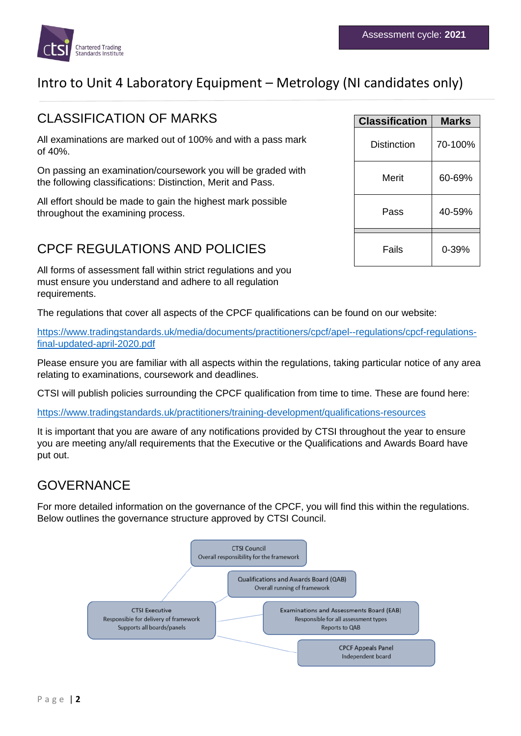

## CLASSIFICATION OF MARKS

All examinations are marked out of 100% and with a pass mark of 40%.

On passing an examination/coursework you will be graded with the following classifications: Distinction, Merit and Pass.

All effort should be made to gain the highest mark possible throughout the examining process.

# CPCF REGULATIONS AND POLICIES

All forms of assessment fall within strict regulations and you must ensure you understand and adhere to all regulation requirements.

The regulations that cover all aspects of the CPCF qualifications can be found on our website:

[https://www.tradingstandards.uk/media/documents/practitioners/cpcf/apel--regulations/cpcf-regulations](https://www.tradingstandards.uk/media/documents/practitioners/cpcf/apel--regulations/cpcf-regulations-final-updated-april-2020.pdf)[final-updated-april-2020.pdf](https://www.tradingstandards.uk/media/documents/practitioners/cpcf/apel--regulations/cpcf-regulations-final-updated-april-2020.pdf)

Please ensure you are familiar with all aspects within the regulations, taking particular notice of any area relating to examinations, coursework and deadlines.

CTSI will publish policies surrounding the CPCF qualification from time to time. These are found here:

<https://www.tradingstandards.uk/practitioners/training-development/qualifications-resources>

It is important that you are aware of any notifications provided by CTSI throughout the year to ensure you are meeting any/all requirements that the Executive or the Qualifications and Awards Board have put out.

## GOVERNANCE

For more detailed information on the governance of the CPCF, you will find this within the regulations. Below outlines the governance structure approved by CTSI Council.



| <b>Classification</b> | Marks   |
|-----------------------|---------|
| Distinction           | 70-100% |
| Merit                 | 60-69%  |
| Pass                  | 40-59%  |
| Fails                 | 0-39%   |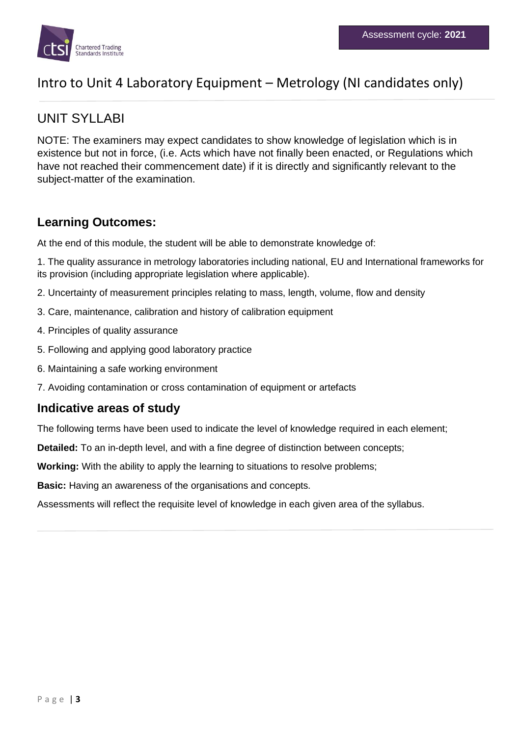

## UNIT SYLLABI

NOTE: The examiners may expect candidates to show knowledge of legislation which is in existence but not in force, (i.e. Acts which have not finally been enacted, or Regulations which have not reached their commencement date) if it is directly and significantly relevant to the subject-matter of the examination.

### **Learning Outcomes:**

At the end of this module, the student will be able to demonstrate knowledge of:

1. The quality assurance in metrology laboratories including national, EU and International frameworks for its provision (including appropriate legislation where applicable).

- 2. Uncertainty of measurement principles relating to mass, length, volume, flow and density
- 3. Care, maintenance, calibration and history of calibration equipment
- 4. Principles of quality assurance
- 5. Following and applying good laboratory practice
- 6. Maintaining a safe working environment
- 7. Avoiding contamination or cross contamination of equipment or artefacts

### **Indicative areas of study**

The following terms have been used to indicate the level of knowledge required in each element;

**Detailed:** To an in-depth level, and with a fine degree of distinction between concepts;

**Working:** With the ability to apply the learning to situations to resolve problems;

**Basic:** Having an awareness of the organisations and concepts.

Assessments will reflect the requisite level of knowledge in each given area of the syllabus.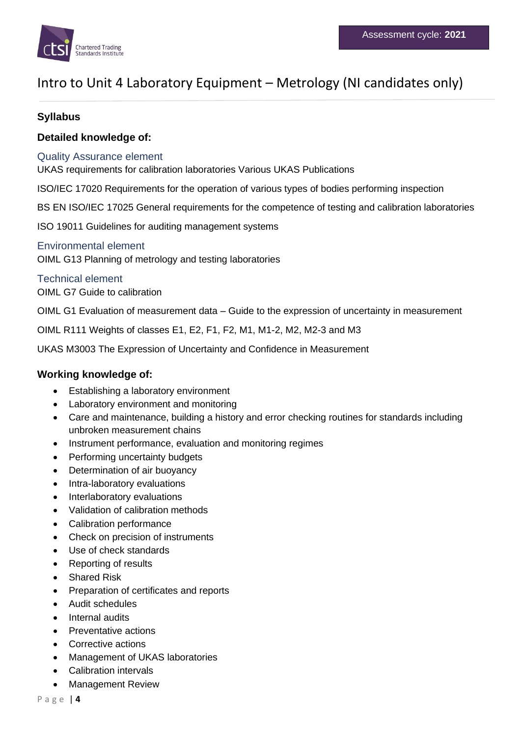

### **Syllabus**

### **Detailed knowledge of:**

### Quality Assurance element

UKAS requirements for calibration laboratories Various UKAS Publications

ISO/IEC 17020 Requirements for the operation of various types of bodies performing inspection

BS EN ISO/IEC 17025 General requirements for the competence of testing and calibration laboratories

ISO 19011 Guidelines for auditing management systems

### Environmental element

OIML G13 Planning of metrology and testing laboratories

#### Technical element OIML G7 Guide to calibration

OIML G1 Evaluation of measurement data – Guide to the expression of uncertainty in measurement

OIML R111 Weights of classes E1, E2, F1, F2, M1, M1-2, M2, M2-3 and M3

UKAS M3003 The Expression of Uncertainty and Confidence in Measurement

### **Working knowledge of:**

- Establishing a laboratory environment
- Laboratory environment and monitoring
- Care and maintenance, building a history and error checking routines for standards including unbroken measurement chains
- Instrument performance, evaluation and monitoring regimes
- Performing uncertainty budgets
- Determination of air buoyancy
- Intra-laboratory evaluations
- Interlaboratory evaluations
- Validation of calibration methods
- Calibration performance
- Check on precision of instruments
- Use of check standards
- Reporting of results
- **Shared Risk**
- Preparation of certificates and reports
- Audit schedules
- Internal audits
- Preventative actions
- Corrective actions
- Management of UKAS laboratories
- Calibration intervals
- Management Review